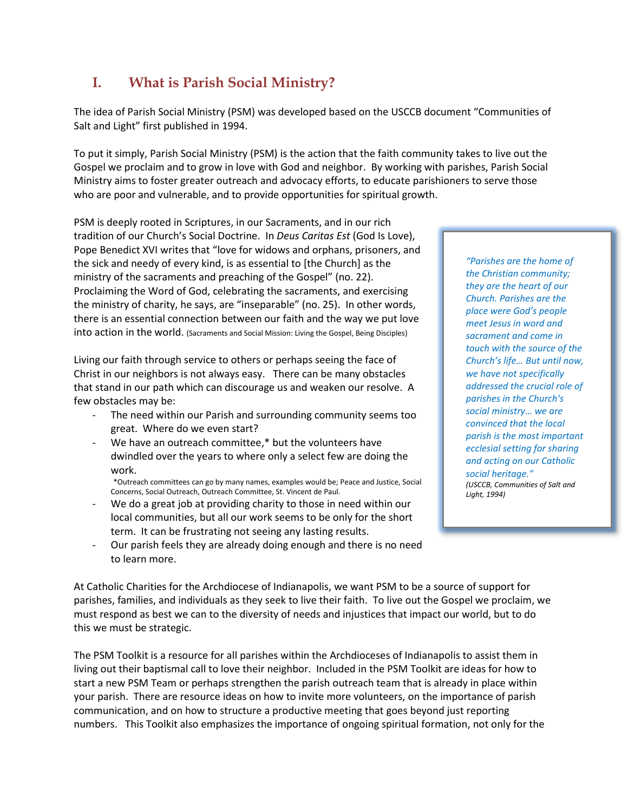## **I. What is Parish Social Ministry?**

The idea of Parish Social Ministry (PSM) was developed based on the USCCB document "Communities of Salt and Light" first published in 1994.

To put it simply, Parish Social Ministry (PSM) is the action that the faith community takes to live out the Gospel we proclaim and to grow in love with God and neighbor. By working with parishes, Parish Social Ministry aims to foster greater outreach and advocacy efforts, to educate parishioners to serve those who are poor and vulnerable, and to provide opportunities for spiritual growth.

PSM is deeply rooted in Scriptures, in our Sacraments, and in our rich tradition of our Church's Social Doctrine. In *Deus Caritas Est* (God Is Love), Pope Benedict XVI writes that "love for widows and orphans, prisoners, and the sick and needy of every kind, is as essential to [the Church] as the ministry of the sacraments and preaching of the Gospel" (no. 22). Proclaiming the Word of God, celebrating the sacraments, and exercising the ministry of charity, he says, are "inseparable" (no. 25). In other words, there is an essential connection between our faith and the way we put love into action in the world. (Sacraments and Social Mission: Living the Gospel, Being Disciples)

Living our faith through service to others or perhaps seeing the face of Christ in our neighbors is not always easy. There can be many obstacles that stand in our path which can discourage us and weaken our resolve. A few obstacles may be:

- The need within our Parish and surrounding community seems too great. Where do we even start?
- We have an outreach committee,\* but the volunteers have dwindled over the years to where only a select few are doing the work.

\*Outreach committees can go by many names, examples would be; Peace and Justice, Social Concerns, Social Outreach, Outreach Committee, St. Vincent de Paul.

We do a great job at providing charity to those in need within our local communities, but all our work seems to be only for the short term. It can be frustrating not seeing any lasting results.

*"Parishes are the home of the Christian community; they are the heart of our Church. Parishes are the place were God's people meet Jesus in word and sacrament and come in touch with the source of the Church's life… But until now, we have not specifically addressed the crucial role of parishes in the Church's social ministry… we are convinced that the local parish is the most important ecclesial setting for sharing and acting on our Catholic social heritage." (USCCB, Communities of Salt and Light, 1994)*

Our parish feels they are already doing enough and there is no need to learn more.

At Catholic Charities for the Archdiocese of Indianapolis, we want PSM to be a source of support for parishes, families, and individuals as they seek to live their faith. To live out the Gospel we proclaim, we must respond as best we can to the diversity of needs and injustices that impact our world, but to do this we must be strategic.

The PSM Toolkit is a resource for all parishes within the Archdioceses of Indianapolis to assist them in living out their baptismal call to love their neighbor. Included in the PSM Toolkit are ideas for how to start a new PSM Team or perhaps strengthen the parish outreach team that is already in place within your parish. There are resource ideas on how to invite more volunteers, on the importance of parish communication, and on how to structure a productive meeting that goes beyond just reporting numbers. This Toolkit also emphasizes the importance of ongoing spiritual formation, not only for the